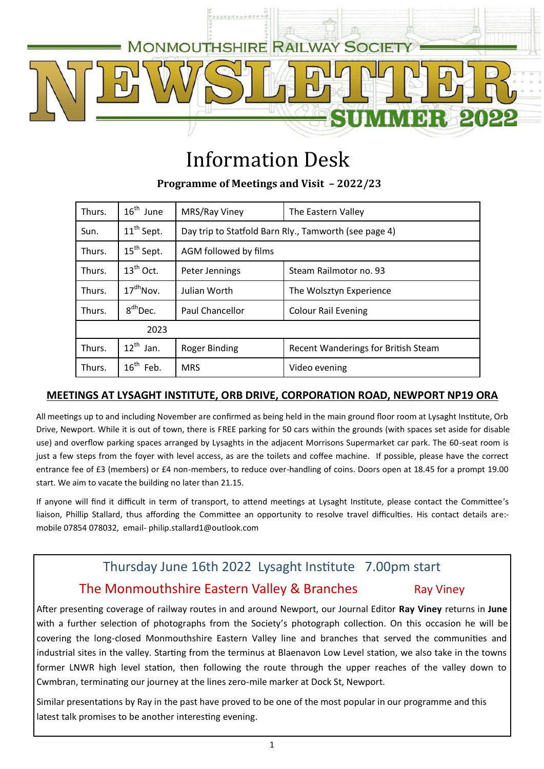

# Information Desk

**Programme of Meetings and Visit – 2022/23**

| Thurs. | $16^{\text{th}}$ June  | MRS/Ray Viney                                         | The Eastern Valley                  |  |
|--------|------------------------|-------------------------------------------------------|-------------------------------------|--|
| Sun.   | 11 <sup>th</sup> Sept. | Day trip to Statfold Barn Rly., Tamworth (see page 4) |                                     |  |
| Thurs. | 15 <sup>th</sup> Sept. | AGM followed by films                                 |                                     |  |
| Thurs. | $13^{th}$ Oct.         | Peter Jennings                                        | Steam Railmotor no. 93              |  |
| Thurs. | $17^{dh}$ Nov.         | Julian Worth                                          | The Wolsztyn Experience             |  |
| Thurs. | 8 <sup>dh</sup> Dec.   | Paul Chancellor                                       | <b>Colour Rail Evening</b>          |  |
| 2023   |                        |                                                       |                                     |  |
| Thurs. | $12^{th}$ Jan.         | <b>Roger Binding</b>                                  | Recent Wanderings for British Steam |  |
| Thurs. | $16^{th}$ Feb.         | <b>MRS</b>                                            | Video evening                       |  |

## **MEETINGS AT LYSAGHT INSTITUTE, ORB DRIVE, CORPORATION ROAD, NEWPORT NP19 ORA**

All meetings up to and including November are confirmed as being held in the main ground floor room at Lysaght Institute, Orb Drive, Newport. While it is out of town, there is FREE parking for 50 cars within the grounds (with spaces set aside for disable use) and overflow parking spaces arranged by Lysaghts in the adjacent Morrisons Supermarket car park. The 60-seat room is just a few steps from the foyer with level access, as are the toilets and coffee machine. If possible, please have the correct entrance fee of £3 (members) or £4 non-members, to reduce over-handling of coins. Doors open at 18.45 for a prompt 19.00 start. We aim to vacate the building no later than 21.15.

If anyone will find it difficult in term of transport, to attend meetings at Lysaght Institute, please contact the Committee's liaison, Phillip Stallard, thus affording the Committee an opportunity to resolve travel difficulties. His contact details are: mobile 07854 078032, email- philip.stallard1@outlook.com

# Thursday June 16th 2022 Lysaght Institute 7.00pm start

# The Monmouthshire Eastern Valley & Branches Ray Viney

After presenting coverage of railway routes in and around Newport, our Journal Editor **Ray Viney** returns in **June** with a further selection of photographs from the Society's photograph collection. On this occasion he will be covering the long-closed Monmouthshire Eastern Valley line and branches that served the communities and industrial sites in the valley. Starting from the terminus at Blaenavon Low Level station, we also take in the towns former LNWR high level station, then following the route through the upper reaches of the valley down to Cwmbran, terminating our journey at the lines zero-mile marker at Dock St, Newport.

Similar presentations by Ray in the past have proved to be one of the most popular in our programme and this latest talk promises to be another interesting evening.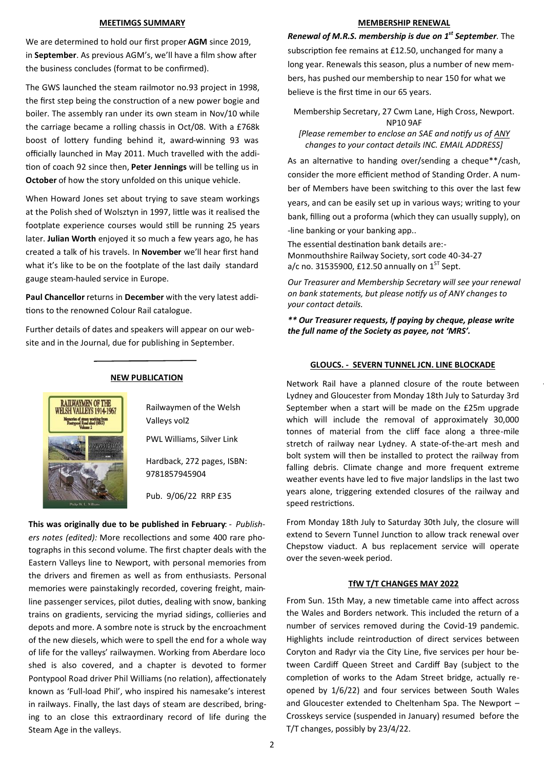#### **MEETIMGS SUMMARY**

We are determined to hold our first proper **AGM** since 2019, in **September**. As previous AGM's, we'll have a film show after the business concludes (format to be confirmed).

The GWS launched the steam railmotor no.93 project in 1998, the first step being the construction of a new power bogie and boiler. The assembly ran under its own steam in Nov/10 while the carriage became a rolling chassis in Oct/08. With a £768k boost of lottery funding behind it, award-winning 93 was officially launched in May 2011. Much travelled with the addition of coach 92 since then, **Peter Jennings** will be telling us in **October** of how the story unfolded on this unique vehicle.

When Howard Jones set about trying to save steam workings at the Polish shed of Wolsztyn in 1997, little was it realised the footplate experience courses would still be running 25 years later. **Julian Worth** enjoyed it so much a few years ago, he has created a talk of his travels. In **November** we'll hear first hand what it's like to be on the footplate of the last daily standard gauge steam-hauled service in Europe.

**Paul Chancellor** returns in **December** with the very latest additions to the renowned Colour Rail catalogue.

Further details of dates and speakers will appear on our website and in the Journal, due for publishing in September.

### **NEW PUBLICATION**

Railwaymen of the Welsh Valleys vol2

PWL Williams, Silver Link

Hardback, 272 pages, ISBN: 9781857945904

Pub. 9/06/22 RRP £35

**This was originally due to be published in February**: - *Publishers notes (edited):* More recollections and some 400 rare photographs in this second volume. The first chapter deals with the Eastern Valleys line to Newport, with personal memories from the drivers and firemen as well as from enthusiasts. Personal memories were painstakingly recorded, covering freight, mainline passenger services, pilot duties, dealing with snow, banking trains on gradients, servicing the myriad sidings, collieries and depots and more. A sombre note is struck by the encroachment of the new diesels, which were to spell the end for a whole way of life for the valleys' railwaymen. Working from Aberdare loco shed is also covered, and a chapter is devoted to former Pontypool Road driver Phil Williams (no relation), affectionately known as 'Full-load Phil', who inspired his namesake's interest in railways. Finally, the last days of steam are described, bringing to an close this extraordinary record of life during the Steam Age in the valleys.

#### **MEMBERSHIP RENEWAL**

*Renewal of M.R.S. membership is due on 1st September.* The subscription fee remains at £12.50, unchanged for many a long year. Renewals this season, plus a number of new members, has pushed our membership to near 150 for what we believe is the first time in our 65 years.

Membership Secretary, 27 Cwm Lane, High Cross, Newport. NP10 9AF

*[Please remember to enclose an SAE and notify us of ANY changes to your contact details INC. EMAIL ADDRESS]*

As an alternative to handing over/sending a cheque\*\*/cash, consider the more efficient method of Standing Order. A number of Members have been switching to this over the last few years, and can be easily set up in various ways; writing to your bank, filling out a proforma (which they can usually supply), on -line banking or your banking app..

The essential destination bank details are:- Monmouthshire Railway Society, sort code 40-34-27 a/c no. 31535900, £12.50 annually on  $1<sup>ST</sup>$  Sept.

*Our Treasurer and Membership Secretary will see your renewal on bank statements, but please notify us of ANY changes to your contact details.* 

*\*\* Our Treasurer requests, If paying by cheque, please write the full name of the Society as payee, not 'MRS'.*

## **GLOUCS. - SEVERN TUNNEL JCN. LINE BLOCKADE**

Network Rail have a planned closure of the route between Lydney and Gloucester from Monday 18th July to Saturday 3rd September when a start will be made on the £25m upgrade which will include the removal of approximately 30,000 tonnes of material from the cliff face along a three-mile stretch of railway near Lydney. A state-of-the-art mesh and bolt system will then be installed to protect the railway from falling debris. Climate change and more frequent extreme weather events have led to five major landslips in the last two years alone, triggering extended closures of the railway and speed restrictions.

From Monday 18th July to Saturday 30th July, the closure will extend to Severn Tunnel Junction to allow track renewal over Chepstow viaduct. A bus replacement service will operate over the seven-week period.

## **TfW T/T CHANGES MAY 2022**

From Sun. 15th May, a new timetable came into affect across the Wales and Borders network. This included the return of a number of services removed during the Covid-19 pandemic. Highlights include reintroduction of direct services between Coryton and Radyr via the City Line, five services per hour between Cardiff Queen Street and Cardiff Bay (subject to the completion of works to the Adam Street bridge, actually reopened by 1/6/22) and four services between South Wales and Gloucester extended to Cheltenham Spa. The Newport – Crosskeys service (suspended in January) resumed before the T/T changes, possibly by 23/4/22.

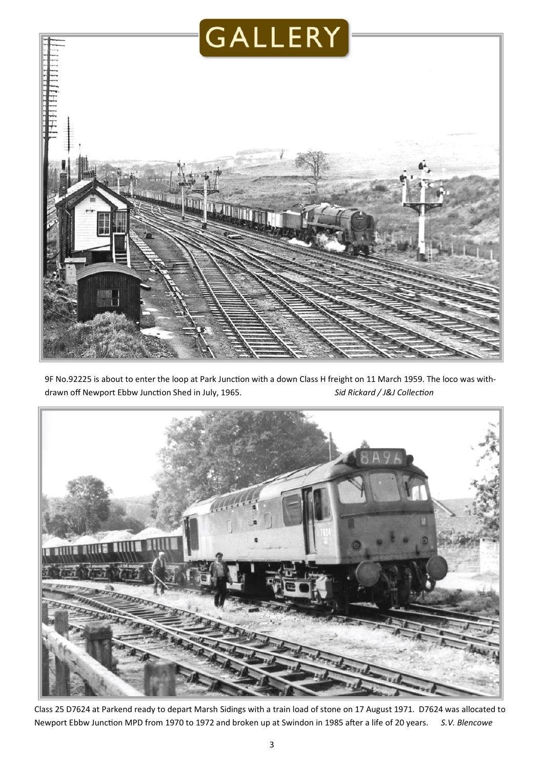

9F No.92225 is about to enter the loop at Park Junction with a down Class H freight on 11 March 1959. The loco was withdrawn off Newport Ebbw Junction Shed in July, 1965. *Sid Rickard / J&J Collection* 



Class 25 D7624 at Parkend ready to depart Marsh Sidings with a train load of stone on 17 August 1971. D7624 was allocated to Newport Ebbw Junction MPD from 1970 to 1972 and broken up at Swindon in 1985 after a life of 20 years. *S.V. Blencowe*